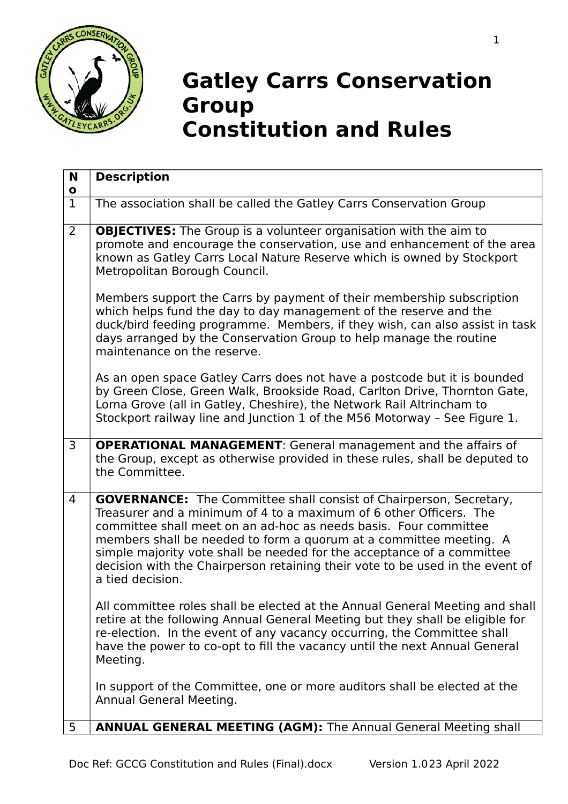

## **Gatley Carrs Conservation Group Constitution and Rules**

| N<br>$\mathbf{o}$ | <b>Description</b>                                                                                                                                                                                                                                                                                                                                                                                                                                                       |
|-------------------|--------------------------------------------------------------------------------------------------------------------------------------------------------------------------------------------------------------------------------------------------------------------------------------------------------------------------------------------------------------------------------------------------------------------------------------------------------------------------|
| $\overline{1}$    | The association shall be called the Gatley Carrs Conservation Group                                                                                                                                                                                                                                                                                                                                                                                                      |
| $\overline{2}$    | <b>OBJECTIVES:</b> The Group is a volunteer organisation with the aim to<br>promote and encourage the conservation, use and enhancement of the area<br>known as Gatley Carrs Local Nature Reserve which is owned by Stockport<br>Metropolitan Borough Council.                                                                                                                                                                                                           |
|                   | Members support the Carrs by payment of their membership subscription<br>which helps fund the day to day management of the reserve and the<br>duck/bird feeding programme. Members, if they wish, can also assist in task<br>days arranged by the Conservation Group to help manage the routine<br>maintenance on the reserve.                                                                                                                                           |
|                   | As an open space Gatley Carrs does not have a postcode but it is bounded<br>by Green Close, Green Walk, Brookside Road, Carlton Drive, Thornton Gate,<br>Lorna Grove (all in Gatley, Cheshire), the Network Rail Altrincham to<br>Stockport railway line and Junction 1 of the M56 Motorway - See Figure 1.                                                                                                                                                              |
| $\overline{3}$    | <b>OPERATIONAL MANAGEMENT:</b> General management and the affairs of<br>the Group, except as otherwise provided in these rules, shall be deputed to<br>the Committee.                                                                                                                                                                                                                                                                                                    |
| $\overline{4}$    | <b>GOVERNANCE:</b> The Committee shall consist of Chairperson, Secretary,<br>Treasurer and a minimum of 4 to a maximum of 6 other Officers. The<br>committee shall meet on an ad-hoc as needs basis. Four committee<br>members shall be needed to form a quorum at a committee meeting. A<br>simple majority vote shall be needed for the acceptance of a committee<br>decision with the Chairperson retaining their vote to be used in the event of<br>a tied decision. |
|                   | All committee roles shall be elected at the Annual General Meeting and shall<br>retire at the following Annual General Meeting but they shall be eligible for<br>re-election. In the event of any vacancy occurring, the Committee shall<br>have the power to co-opt to fill the vacancy until the next Annual General<br>Meeting.                                                                                                                                       |
|                   | In support of the Committee, one or more auditors shall be elected at the<br>Annual General Meeting.                                                                                                                                                                                                                                                                                                                                                                     |
| 5                 | <b>ANNUAL GENERAL MEETING (AGM):</b> The Annual General Meeting shall                                                                                                                                                                                                                                                                                                                                                                                                    |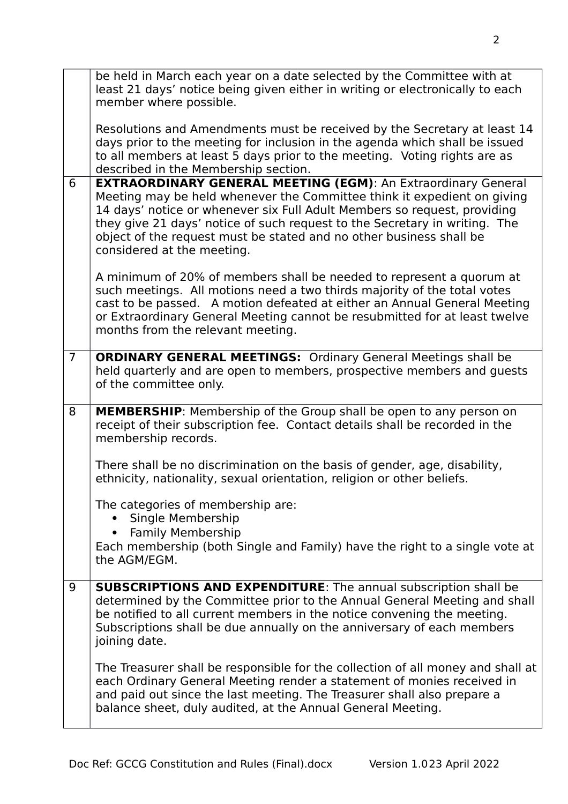|                | be held in March each year on a date selected by the Committee with at<br>least 21 days' notice being given either in writing or electronically to each<br>member where possible.                                                                                                                                                                                                                              |
|----------------|----------------------------------------------------------------------------------------------------------------------------------------------------------------------------------------------------------------------------------------------------------------------------------------------------------------------------------------------------------------------------------------------------------------|
|                | Resolutions and Amendments must be received by the Secretary at least 14<br>days prior to the meeting for inclusion in the agenda which shall be issued<br>to all members at least 5 days prior to the meeting. Voting rights are as<br>described in the Membership section.                                                                                                                                   |
| 6              | <b>EXTRAORDINARY GENERAL MEETING (EGM): An Extraordinary General</b><br>Meeting may be held whenever the Committee think it expedient on giving<br>14 days' notice or whenever six Full Adult Members so request, providing<br>they give 21 days' notice of such request to the Secretary in writing. The<br>object of the request must be stated and no other business shall be<br>considered at the meeting. |
|                | A minimum of 20% of members shall be needed to represent a quorum at<br>such meetings. All motions need a two thirds majority of the total votes<br>cast to be passed. A motion defeated at either an Annual General Meeting<br>or Extraordinary General Meeting cannot be resubmitted for at least twelve<br>months from the relevant meeting.                                                                |
| $\overline{7}$ | <b>ORDINARY GENERAL MEETINGS:</b> Ordinary General Meetings shall be<br>held quarterly and are open to members, prospective members and guests<br>of the committee only.                                                                                                                                                                                                                                       |
| 8              | <b>MEMBERSHIP:</b> Membership of the Group shall be open to any person on<br>receipt of their subscription fee. Contact details shall be recorded in the<br>membership records.                                                                                                                                                                                                                                |
|                | There shall be no discrimination on the basis of gender, age, disability,<br>ethnicity, nationality, sexual orientation, religion or other beliefs.                                                                                                                                                                                                                                                            |
|                |                                                                                                                                                                                                                                                                                                                                                                                                                |
|                | The categories of membership are:<br>Single Membership<br><b>Family Membership</b>                                                                                                                                                                                                                                                                                                                             |
|                | Each membership (both Single and Family) have the right to a single vote at<br>the AGM/EGM.                                                                                                                                                                                                                                                                                                                    |
| 9              | <b>SUBSCRIPTIONS AND EXPENDITURE:</b> The annual subscription shall be<br>determined by the Committee prior to the Annual General Meeting and shall<br>be notified to all current members in the notice convening the meeting.<br>Subscriptions shall be due annually on the anniversary of each members<br>joining date.                                                                                      |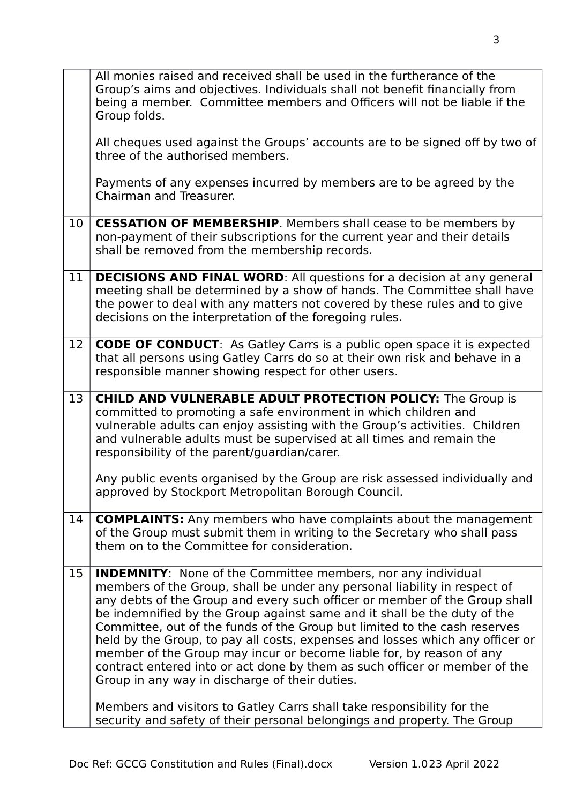|    | All monies raised and received shall be used in the furtherance of the<br>Group's aims and objectives. Individuals shall not benefit financially from<br>being a member. Committee members and Officers will not be liable if the<br>Group folds.                                                                                                                                                                                                                                                                                                                                                                                                                                |
|----|----------------------------------------------------------------------------------------------------------------------------------------------------------------------------------------------------------------------------------------------------------------------------------------------------------------------------------------------------------------------------------------------------------------------------------------------------------------------------------------------------------------------------------------------------------------------------------------------------------------------------------------------------------------------------------|
|    | All cheques used against the Groups' accounts are to be signed off by two of<br>three of the authorised members.                                                                                                                                                                                                                                                                                                                                                                                                                                                                                                                                                                 |
|    | Payments of any expenses incurred by members are to be agreed by the<br>Chairman and Treasurer.                                                                                                                                                                                                                                                                                                                                                                                                                                                                                                                                                                                  |
| 10 | <b>CESSATION OF MEMBERSHIP.</b> Members shall cease to be members by<br>non-payment of their subscriptions for the current year and their details<br>shall be removed from the membership records.                                                                                                                                                                                                                                                                                                                                                                                                                                                                               |
| 11 | <b>DECISIONS AND FINAL WORD:</b> All questions for a decision at any general<br>meeting shall be determined by a show of hands. The Committee shall have<br>the power to deal with any matters not covered by these rules and to give<br>decisions on the interpretation of the foregoing rules.                                                                                                                                                                                                                                                                                                                                                                                 |
| 12 | <b>CODE OF CONDUCT:</b> As Gatley Carrs is a public open space it is expected<br>that all persons using Gatley Carrs do so at their own risk and behave in a<br>responsible manner showing respect for other users.                                                                                                                                                                                                                                                                                                                                                                                                                                                              |
| 13 | <b>CHILD AND VULNERABLE ADULT PROTECTION POLICY:</b> The Group is<br>committed to promoting a safe environment in which children and<br>vulnerable adults can enjoy assisting with the Group's activities. Children<br>and vulnerable adults must be supervised at all times and remain the<br>responsibility of the parent/guardian/carer.                                                                                                                                                                                                                                                                                                                                      |
|    | Any public events organised by the Group are risk assessed individually and<br>approved by Stockport Metropolitan Borough Council.                                                                                                                                                                                                                                                                                                                                                                                                                                                                                                                                               |
| 14 | <b>COMPLAINTS:</b> Any members who have complaints about the management<br>of the Group must submit them in writing to the Secretary who shall pass<br>them on to the Committee for consideration.                                                                                                                                                                                                                                                                                                                                                                                                                                                                               |
| 15 | <b>INDEMNITY:</b> None of the Committee members, nor any individual<br>members of the Group, shall be under any personal liability in respect of<br>any debts of the Group and every such officer or member of the Group shall<br>be indemnified by the Group against same and it shall be the duty of the<br>Committee, out of the funds of the Group but limited to the cash reserves<br>held by the Group, to pay all costs, expenses and losses which any officer or<br>member of the Group may incur or become liable for, by reason of any<br>contract entered into or act done by them as such officer or member of the<br>Group in any way in discharge of their duties. |
|    | Members and visitors to Gatley Carrs shall take responsibility for the<br>security and safety of their personal belongings and property. The Group                                                                                                                                                                                                                                                                                                                                                                                                                                                                                                                               |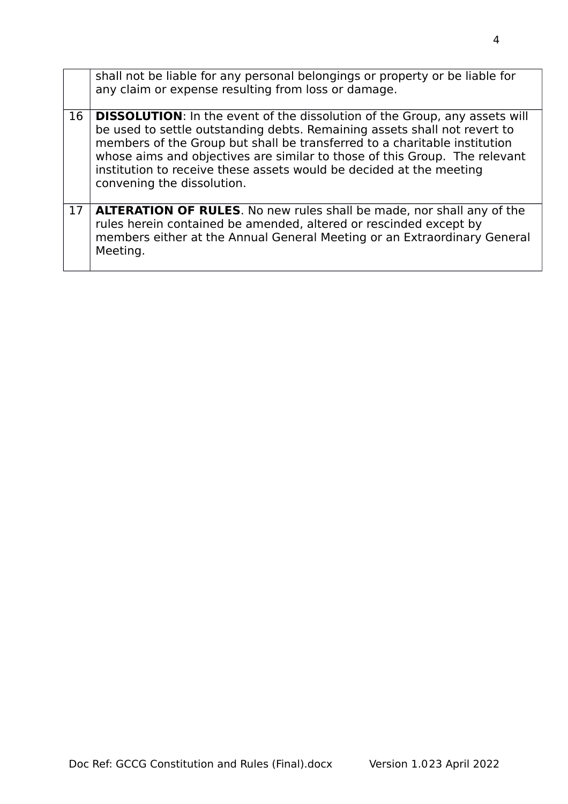|    | shall not be liable for any personal belongings or property or be liable for<br>any claim or expense resulting from loss or damage.                                                                                                                                                                                                                                                                                            |
|----|--------------------------------------------------------------------------------------------------------------------------------------------------------------------------------------------------------------------------------------------------------------------------------------------------------------------------------------------------------------------------------------------------------------------------------|
| 16 | <b>DISSOLUTION:</b> In the event of the dissolution of the Group, any assets will<br>be used to settle outstanding debts. Remaining assets shall not revert to<br>members of the Group but shall be transferred to a charitable institution<br>whose aims and objectives are similar to those of this Group. The relevant<br>institution to receive these assets would be decided at the meeting<br>convening the dissolution. |
| 17 | <b>ALTERATION OF RULES.</b> No new rules shall be made, nor shall any of the<br>rules herein contained be amended, altered or rescinded except by<br>members either at the Annual General Meeting or an Extraordinary General<br>Meeting.                                                                                                                                                                                      |